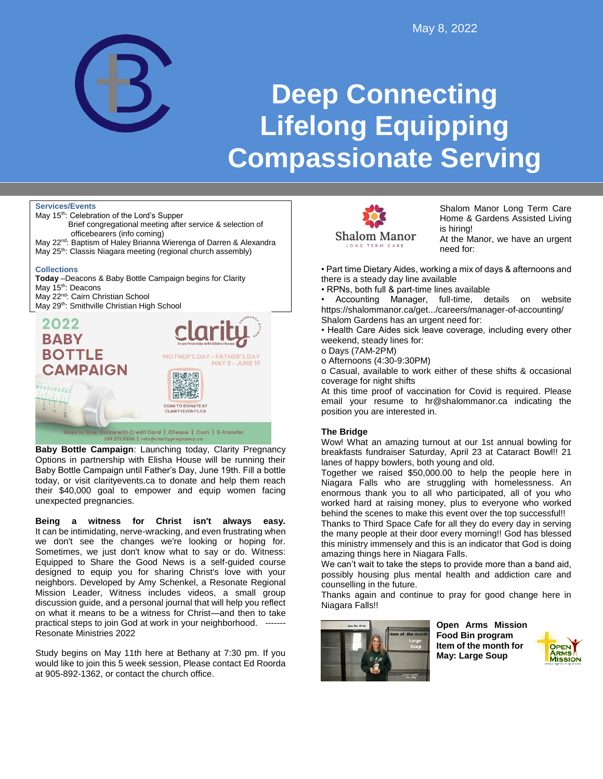

# **Deep Connecting Lifelong Equipping Compassionate Serving**

### **Services/Events**



**Baby Bottle Campaign**: Launching today, Clarity Pregnancy Options in partnership with Elisha House will be running their Baby Bottle Campaign until Father's Day, June 19th. Fill a bottle today, or visit clarityevents.ca to donate and help them reach their \$40,000 goal to empower and equip women facing unexpected pregnancies.

**Being a witness for Christ isn't always easy.**  It can be intimidating, nerve-wracking, and even frustrating when we don't see the changes we're looking or hoping for. Sometimes, we just don't know what to say or do. Witness: Equipped to Share the Good News is a self-guided course designed to equip you for sharing Christ's love with your neighbors. Developed by Amy Schenkel, a Resonate Regional Mission Leader, Witness includes videos, a small group discussion guide, and a personal journal that will help you reflect on what it means to be a witness for Christ—and then to take practical steps to join God at work in your neighborhood. ------- Resonate Ministries 2022

Study begins on May 11th here at Bethany at 7:30 pm. If you would like to join this 5 week session, Please contact Ed Roorda at 905-892-1362, or contact the church office.



Shalom Manor Long Term Care Home & Gardens Assisted Living is hiring!

At the Manor, we have an urgent need for:

• Part time Dietary Aides, working a mix of days & afternoons and there is a steady day line available

• RPNs, both full & part-time lines available

• Accounting Manager, full-time, details on website https://shalommanor.ca/get.../careers/manager-of-accounting/ Shalom Gardens has an urgent need for:

• Health Care Aides sick leave coverage, including every other weekend, steady lines for:

o Days (7AM-2PM)

o Afternoons (4:30-9:30PM)

o Casual, available to work either of these shifts & occasional coverage for night shifts

At this time proof of vaccination for Covid is required. Please email your resume to hr@shalommanor.ca indicating the position you are interested in.

## **The Bridge**

Wow! What an amazing turnout at our 1st annual bowling for breakfasts fundraiser Saturday, April 23 at Cataract Bowl!! 21 lanes of happy bowlers, both young and old.

Together we raised \$50,000.00 to help the people here in Niagara Falls who are struggling with homelessness. An enormous thank you to all who participated, all of you who worked hard at raising money, plus to everyone who worked behind the scenes to make this event over the top successful!!

Thanks to Third Space Cafe for all they do every day in serving the many people at their door every morning!! God has blessed this ministry immensely and this is an indicator that God is doing amazing things here in Niagara Falls.

We can't wait to take the steps to provide more than a band aid, possibly housing plus mental health and addiction care and counselling in the future.

Thanks again and continue to pray for good change here in Niagara Falls!!



**Open Arms Mission Food Bin program Item of the month for May: Large Soup**